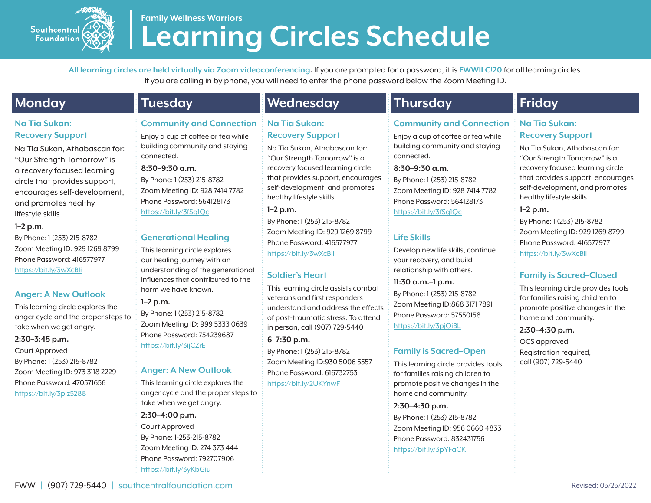

# **Family Wellness Warriors Learning Circles Schedule**

**All learning circles are held virtually via Zoom videoconferencing.** If you are prompted for a password, it is **FWWILC!20** for all learning circles.

If you are calling in by phone, you will need to enter the phone password below the Zoom Meeting ID.

### **Monday Na Tia Sukan:**

### **Recovery Support**

Na Tia Sukan, Athabascan for: "Our Strength Tomorrow" is a recovery focused learning circle that provides support, encourages self-development, and promotes healthy lifestyle skills.

#### **1–2 p.m.**

By Phone: 1 (253) 215-8782 Zoom Meeting ID: 929 1269 8799 Phone Password: 416577977 https://bit.ly/3wXcBIi

#### **Anger: A New Outlook**

This learning circle explores the anger cycle and the proper steps to take when we get angry.

#### **2:30–3:45 p.m.**

Court Approved By Phone: 1 (253) 215-8782 Zoom Meeting ID: 973 3118 2229 Phone Password: 470571656 https://bit.ly/3piz5288

### **Wednesday**

**Tuesday**

connected. **8:30–9:30 a.m.**

Enjoy a cup of coffee or tea while building community and staying

By Phone: 1 (253) 215-8782 Zoom Meeting ID: 928 7414 7782 Phone Password: 564128173 https://bit.ly/3fSq1Qc

**Generational Healing** This learning circle explores our healing journey with an understanding of the generational influences that contributed to the

harm we have known.

https://bit.ly/3ijCZrE

By Phone: 1 (253) 215-8782 Zoom Meeting ID: 999 5333 0639 Phone Password: 754239687

**Anger: A New Outlook** This learning circle explores the anger cycle and the proper steps to

take when we get angry.

By Phone: 1-253-215-8782 Zoom Meeting ID: 274 373 444 Phone Password: 792707906 https://bit.ly/3yKbGiu

**2:30–4:00 p.m.** Court Approved

**1–2 p.m.**

#### **Community and Connection Na Tia Sukan: Recovery Support**

Na Tia Sukan, Athabascan for: "Our Strength Tomorrow" is a recovery focused learning circle that provides support, encourages self-development, and promotes healthy lifestyle skills.

**1–2 p.m.** By Phone: 1 (253) 215-8782 Zoom Meeting ID: 929 1269 8799 Phone Password: 416577977 https://bit.ly/3wXcBIi

#### **Soldier's Heart**

This learning circle assists combat veterans and first responders understand and address the effects of post-traumatic stress. To attend in person, call (907) 729-5440

#### **6–7:30 p.m.**

By Phone: 1 (253) 215-8782 Zoom Meeting ID:930 5006 5557 Phone Password: 616732753 https://bit.ly/2UKYnwF

### **Thursday**

#### **Community and Connection**

Enjoy a cup of coffee or tea while building community and staying connected.

#### **8:30–9:30 a.m.**

By Phone: 1 (253) 215-8782 Zoom Meeting ID: 928 7414 7782 Phone Password: 564128173 https://bit.ly/3fSq1Qc

#### **Life Skills**

Develop new life skills, continue your recovery, and build relationship with others.

**11:30 a.m.–1 p.m.** By Phone: 1 (253) 215-8782 Zoom Meeting ID:868 3171 7891 Phone Password: 57550158 https://bit.ly/3pjOiBL

#### **Family is Sacred–Open**

This learning circle provides tools for families raising children to promote positive changes in the home and community.

#### **2:30–4:30 p.m.**

By Phone: 1 (253) 215-8782 Zoom Meeting ID: 956 0660 4833 Phone Password: 832431756 https://bit.ly/3pYFaCK

## **Friday**

#### **Na Tia Sukan: Recovery Support**

Na Tia Sukan, Athabascan for: "Our Strength Tomorrow" is a recovery focused learning circle that provides support, encourages self-development, and promotes healthy lifestyle skills.

#### **1–2 p.m.**

By Phone: 1 (253) 215-8782 Zoom Meeting ID: 929 1269 8799 Phone Password: 416577977 https://bit.ly/3wXcBIi

#### **Family is Sacred–Closed**

This learning circle provides tools for families raising children to promote positive changes in the home and community.

#### **2:30–4:30 p.m.**

OCS approved Registration required, call (907) 729-5440